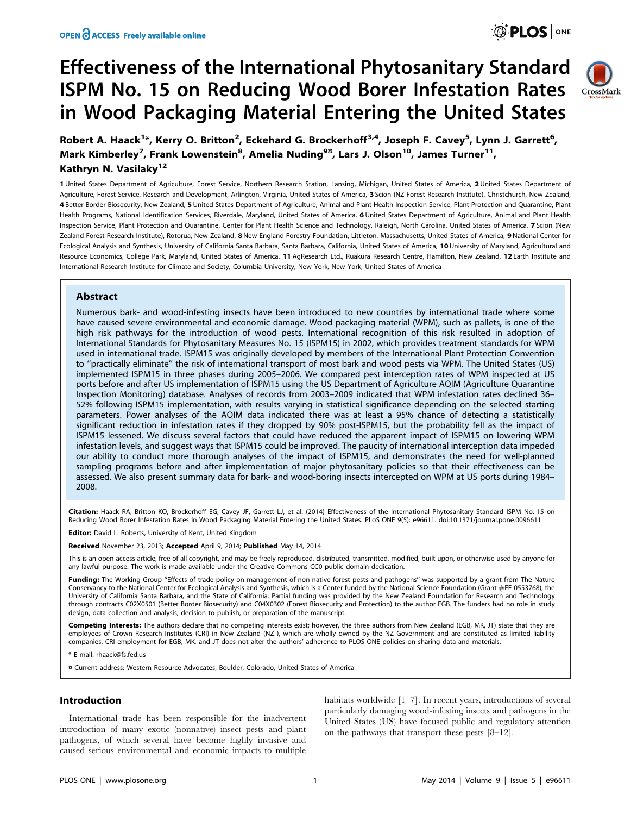CrossMark

# Effectiveness of the International Phytosanitary Standard ISPM No. 15 on Reducing Wood Borer Infestation Rates in Wood Packaging Material Entering the United States



1 United States Department of Agriculture, Forest Service, Northern Research Station, Lansing, Michigan, United States of America, 2 United States Department of Agriculture, Forest Service, Research and Development, Arlington, Virginia, United States of America, 3 Scion (NZ Forest Research Institute), Christchurch, New Zealand, 4 Better Border Biosecurity, New Zealand, 5 United States Department of Agriculture, Animal and Plant Health Inspection Service, Plant Protection and Ouarantine, Plant Health Programs, National Identification Services, Riverdale, Maryland, United States of America, 6 United States Department of Agriculture, Animal and Plant Health Inspection Service, Plant Protection and Quarantine, Center for Plant Health Science and Technology, Raleigh, North Carolina, United States of America, 7 Scion (New Zealand Forest Research Institute), Rotorua, New Zealand, 8 New England Forestry Foundation, Littleton, Massachusetts, United States of America, 9 National Center for Ecological Analysis and Synthesis, University of California Santa Barbara, Santa Barbara, California, United States of America, 10 University of Maryland, Agricultural and Resource Economics, College Park, Maryland, United States of America, 11 AgResearch Ltd., Ruakura Research Centre, Hamilton, New Zealand, 12 Earth Institute and International Research Institute for Climate and Society, Columbia University, New York, New York, United States of America

# Abstract

Numerous bark- and wood-infesting insects have been introduced to new countries by international trade where some have caused severe environmental and economic damage. Wood packaging material (WPM), such as pallets, is one of the high risk pathways for the introduction of wood pests. International recognition of this risk resulted in adoption of International Standards for Phytosanitary Measures No. 15 (ISPM15) in 2002, which provides treatment standards for WPM used in international trade. ISPM15 was originally developed by members of the International Plant Protection Convention to ''practically eliminate'' the risk of international transport of most bark and wood pests via WPM. The United States (US) implemented ISPM15 in three phases during 2005–2006. We compared pest interception rates of WPM inspected at US ports before and after US implementation of ISPM15 using the US Department of Agriculture AQIM (Agriculture Quarantine Inspection Monitoring) database. Analyses of records from 2003–2009 indicated that WPM infestation rates declined 36– 52% following ISPM15 implementation, with results varying in statistical significance depending on the selected starting parameters. Power analyses of the AQIM data indicated there was at least a 95% chance of detecting a statistically significant reduction in infestation rates if they dropped by 90% post-ISPM15, but the probability fell as the impact of ISPM15 lessened. We discuss several factors that could have reduced the apparent impact of ISPM15 on lowering WPM infestation levels, and suggest ways that ISPM15 could be improved. The paucity of international interception data impeded our ability to conduct more thorough analyses of the impact of ISPM15, and demonstrates the need for well-planned sampling programs before and after implementation of major phytosanitary policies so that their effectiveness can be assessed. We also present summary data for bark- and wood-boring insects intercepted on WPM at US ports during 1984– 2008.

Citation: Haack RA, Britton KO, Brockerhoff EG, Cavey JF, Garrett LJ, et al. (2014) Effectiveness of the International Phytosanitary Standard ISPM No. 15 on Reducing Wood Borer Infestation Rates in Wood Packaging Material Entering the United States. PLoS ONE 9(5): e96611. doi:10.1371/journal.pone.0096611

Editor: David L. Roberts, University of Kent, United Kingdom

Received November 23, 2013; Accepted April 9, 2014; Published May 14, 2014

This is an open-access article, free of all copyright, and may be freely reproduced, distributed, transmitted, modified, built upon, or otherwise used by anyone for any lawful purpose. The work is made available under the Creative Commons CC0 public domain dedication.

Funding: The Working Group "Effects of trade policy on management of non-native forest pests and pathogens" was supported by a grant from The Nature Conservancy to the National Center for Ecological Analysis and Synthesis, which is a Center funded by the National Science Foundation (Grant #EF-0553768), the University of California Santa Barbara, and the State of California. Partial funding was provided by the New Zealand Foundation for Research and Technology through contracts C02X0501 (Better Border Biosecurity) and C04X0302 (Forest Biosecurity and Protection) to the author EGB. The funders had no role in study design, data collection and analysis, decision to publish, or preparation of the manuscript.

**Competing Interests:** The authors declare that no competing interests exist; however, the three authors from New Zealand (EGB, MK, JT) state that they are<br>employees of Crown Research Institutes (CRI) in New Zealand (NZ ), companies. CRI employment for EGB, MK, and JT does not alter the authors' adherence to PLOS ONE policies on sharing data and materials.

\* E-mail: rhaack@fs.fed.us

¤ Current address: Western Resource Advocates, Boulder, Colorado, United States of America

## Introduction

International trade has been responsible for the inadvertent introduction of many exotic (nonnative) insect pests and plant pathogens, of which several have become highly invasive and caused serious environmental and economic impacts to multiple

habitats worldwide [1–7]. In recent years, introductions of several particularly damaging wood-infesting insects and pathogens in the United States (US) have focused public and regulatory attention on the pathways that transport these pests [8–12].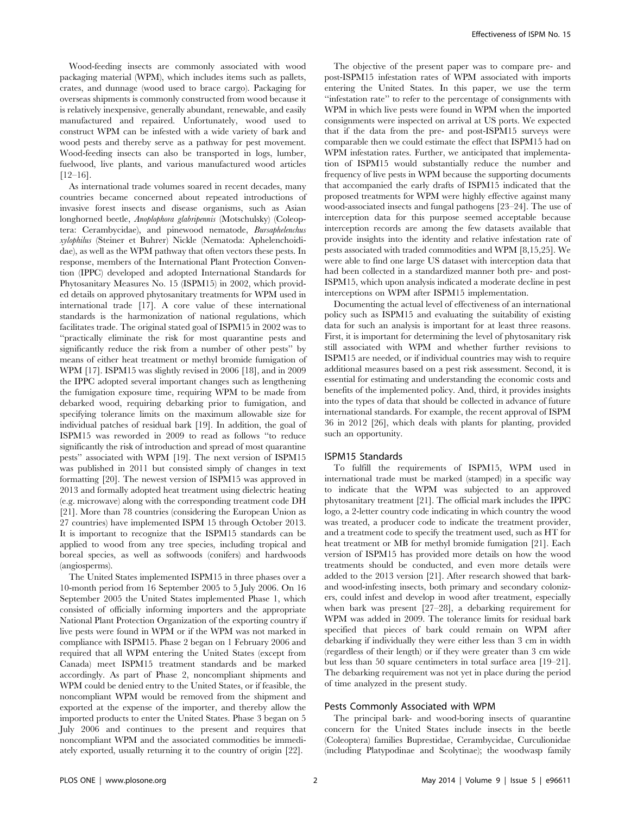Wood-feeding insects are commonly associated with wood packaging material (WPM), which includes items such as pallets, crates, and dunnage (wood used to brace cargo). Packaging for overseas shipments is commonly constructed from wood because it is relatively inexpensive, generally abundant, renewable, and easily manufactured and repaired. Unfortunately, wood used to construct WPM can be infested with a wide variety of bark and wood pests and thereby serve as a pathway for pest movement. Wood-feeding insects can also be transported in logs, lumber, fuelwood, live plants, and various manufactured wood articles  $[12-16]$ .

As international trade volumes soared in recent decades, many countries became concerned about repeated introductions of invasive forest insects and disease organisms, such as Asian longhorned beetle, Anoplophora glabripennis (Motschulsky) (Coleoptera: Cerambycidae), and pinewood nematode, Bursaphelenchus xylophilus (Steiner et Buhrer) Nickle (Nematoda: Aphelenchoididae), as well as the WPM pathway that often vectors these pests. In response, members of the International Plant Protection Convention (IPPC) developed and adopted International Standards for Phytosanitary Measures No. 15 (ISPM15) in 2002, which provided details on approved phytosanitary treatments for WPM used in international trade [17]. A core value of these international standards is the harmonization of national regulations, which facilitates trade. The original stated goal of ISPM15 in 2002 was to ''practically eliminate the risk for most quarantine pests and significantly reduce the risk from a number of other pests'' by means of either heat treatment or methyl bromide fumigation of WPM [17]. ISPM15 was slightly revised in 2006 [18], and in 2009 the IPPC adopted several important changes such as lengthening the fumigation exposure time, requiring WPM to be made from debarked wood, requiring debarking prior to fumigation, and specifying tolerance limits on the maximum allowable size for individual patches of residual bark [19]. In addition, the goal of ISPM15 was reworded in 2009 to read as follows ''to reduce significantly the risk of introduction and spread of most quarantine pests'' associated with WPM [19]. The next version of ISPM15 was published in 2011 but consisted simply of changes in text formatting [20]. The newest version of ISPM15 was approved in 2013 and formally adopted heat treatment using dielectric heating (e.g. microwave) along with the corresponding treatment code DH [21]. More than 78 countries (considering the European Union as 27 countries) have implemented ISPM 15 through October 2013. It is important to recognize that the ISPM15 standards can be applied to wood from any tree species, including tropical and boreal species, as well as softwoods (conifers) and hardwoods (angiosperms).

The United States implemented ISPM15 in three phases over a 10-month period from 16 September 2005 to 5 July 2006. On 16 September 2005 the United States implemented Phase 1, which consisted of officially informing importers and the appropriate National Plant Protection Organization of the exporting country if live pests were found in WPM or if the WPM was not marked in compliance with ISPM15. Phase 2 began on 1 February 2006 and required that all WPM entering the United States (except from Canada) meet ISPM15 treatment standards and be marked accordingly. As part of Phase 2, noncompliant shipments and WPM could be denied entry to the United States, or if feasible, the noncompliant WPM would be removed from the shipment and exported at the expense of the importer, and thereby allow the imported products to enter the United States. Phase 3 began on 5 July 2006 and continues to the present and requires that noncompliant WPM and the associated commodities be immediately exported, usually returning it to the country of origin [22].

The objective of the present paper was to compare pre- and post-ISPM15 infestation rates of WPM associated with imports entering the United States. In this paper, we use the term ''infestation rate'' to refer to the percentage of consignments with WPM in which live pests were found in WPM when the imported consignments were inspected on arrival at US ports. We expected that if the data from the pre- and post-ISPM15 surveys were comparable then we could estimate the effect that ISPM15 had on WPM infestation rates. Further, we anticipated that implementation of ISPM15 would substantially reduce the number and frequency of live pests in WPM because the supporting documents that accompanied the early drafts of ISPM15 indicated that the proposed treatments for WPM were highly effective against many wood-associated insects and fungal pathogens [23–24]. The use of interception data for this purpose seemed acceptable because interception records are among the few datasets available that provide insights into the identity and relative infestation rate of pests associated with traded commodities and WPM [8,15,25]. We were able to find one large US dataset with interception data that had been collected in a standardized manner both pre- and post-ISPM15, which upon analysis indicated a moderate decline in pest interceptions on WPM after ISPM15 implementation.

Documenting the actual level of effectiveness of an international policy such as ISPM15 and evaluating the suitability of existing data for such an analysis is important for at least three reasons. First, it is important for determining the level of phytosanitary risk still associated with WPM and whether further revisions to ISPM15 are needed, or if individual countries may wish to require additional measures based on a pest risk assessment. Second, it is essential for estimating and understanding the economic costs and benefits of the implemented policy. And, third, it provides insights into the types of data that should be collected in advance of future international standards. For example, the recent approval of ISPM 36 in 2012 [26], which deals with plants for planting, provided such an opportunity.

#### ISPM15 Standards

To fulfill the requirements of ISPM15, WPM used in international trade must be marked (stamped) in a specific way to indicate that the WPM was subjected to an approved phytosanitary treatment [21]. The official mark includes the IPPC logo, a 2-letter country code indicating in which country the wood was treated, a producer code to indicate the treatment provider, and a treatment code to specify the treatment used, such as HT for heat treatment or MB for methyl bromide fumigation [21]. Each version of ISPM15 has provided more details on how the wood treatments should be conducted, and even more details were added to the 2013 version [21]. After research showed that barkand wood-infesting insects, both primary and secondary colonizers, could infest and develop in wood after treatment, especially when bark was present [27–28], a debarking requirement for WPM was added in 2009. The tolerance limits for residual bark specified that pieces of bark could remain on WPM after debarking if individually they were either less than 3 cm in width (regardless of their length) or if they were greater than 3 cm wide but less than 50 square centimeters in total surface area [19–21]. The debarking requirement was not yet in place during the period of time analyzed in the present study.

## Pests Commonly Associated with WPM

The principal bark- and wood-boring insects of quarantine concern for the United States include insects in the beetle (Coleoptera) families Buprestidae, Cerambycidae, Curculionidae (including Platypodinae and Scolytinae); the woodwasp family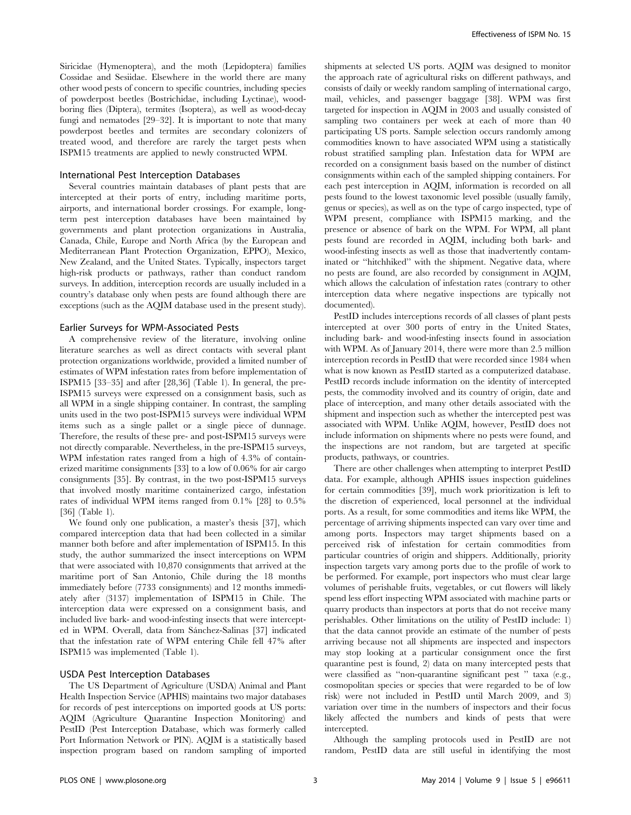Siricidae (Hymenoptera), and the moth (Lepidoptera) families Cossidae and Sesiidae. Elsewhere in the world there are many other wood pests of concern to specific countries, including species of powderpost beetles (Bostrichidae, including Lyctinae), woodboring flies (Diptera), termites (Isoptera), as well as wood-decay fungi and nematodes [29–32]. It is important to note that many powderpost beetles and termites are secondary colonizers of treated wood, and therefore are rarely the target pests when ISPM15 treatments are applied to newly constructed WPM.

#### International Pest Interception Databases

Several countries maintain databases of plant pests that are intercepted at their ports of entry, including maritime ports, airports, and international border crossings. For example, longterm pest interception databases have been maintained by governments and plant protection organizations in Australia, Canada, Chile, Europe and North Africa (by the European and Mediterranean Plant Protection Organization, EPPO), Mexico, New Zealand, and the United States. Typically, inspectors target high-risk products or pathways, rather than conduct random surveys. In addition, interception records are usually included in a country's database only when pests are found although there are exceptions (such as the AQIM database used in the present study).

#### Earlier Surveys for WPM-Associated Pests

A comprehensive review of the literature, involving online literature searches as well as direct contacts with several plant protection organizations worldwide, provided a limited number of estimates of WPM infestation rates from before implementation of ISPM15 [33–35] and after [28,36] (Table 1). In general, the pre-ISPM15 surveys were expressed on a consignment basis, such as all WPM in a single shipping container. In contrast, the sampling units used in the two post-ISPM15 surveys were individual WPM items such as a single pallet or a single piece of dunnage. Therefore, the results of these pre- and post-ISPM15 surveys were not directly comparable. Nevertheless, in the pre-ISPM15 surveys, WPM infestation rates ranged from a high of 4.3% of containerized maritime consignments [33] to a low of 0.06% for air cargo consignments [35]. By contrast, in the two post-ISPM15 surveys that involved mostly maritime containerized cargo, infestation rates of individual WPM items ranged from 0.1% [28] to 0.5% [36] (Table 1).

We found only one publication, a master's thesis [37], which compared interception data that had been collected in a similar manner both before and after implementation of ISPM15. In this study, the author summarized the insect interceptions on WPM that were associated with 10,870 consignments that arrived at the maritime port of San Antonio, Chile during the 18 months immediately before (7733 consignments) and 12 months immediately after (3137) implementation of ISPM15 in Chile. The interception data were expressed on a consignment basis, and included live bark- and wood-infesting insects that were intercepted in WPM. Overall, data from Sánchez-Salinas [37] indicated that the infestation rate of WPM entering Chile fell 47% after ISPM15 was implemented (Table 1).

#### USDA Pest Interception Databases

The US Department of Agriculture (USDA) Animal and Plant Health Inspection Service (APHIS) maintains two major databases for records of pest interceptions on imported goods at US ports: AQIM (Agriculture Quarantine Inspection Monitoring) and PestID (Pest Interception Database, which was formerly called Port Information Network or PIN). AQIM is a statistically based inspection program based on random sampling of imported shipments at selected US ports. AQIM was designed to monitor the approach rate of agricultural risks on different pathways, and consists of daily or weekly random sampling of international cargo, mail, vehicles, and passenger baggage [38]. WPM was first targeted for inspection in AQIM in 2003 and usually consisted of sampling two containers per week at each of more than 40 participating US ports. Sample selection occurs randomly among commodities known to have associated WPM using a statistically robust stratified sampling plan. Infestation data for WPM are recorded on a consignment basis based on the number of distinct consignments within each of the sampled shipping containers. For each pest interception in AQIM, information is recorded on all pests found to the lowest taxonomic level possible (usually family, genus or species), as well as on the type of cargo inspected, type of WPM present, compliance with ISPM15 marking, and the presence or absence of bark on the WPM. For WPM, all plant pests found are recorded in AQIM, including both bark- and wood-infesting insects as well as those that inadvertently contaminated or ''hitchhiked'' with the shipment. Negative data, where no pests are found, are also recorded by consignment in AQIM, which allows the calculation of infestation rates (contrary to other interception data where negative inspections are typically not documented).

PestID includes interceptions records of all classes of plant pests intercepted at over 300 ports of entry in the United States, including bark- and wood-infesting insects found in association with WPM. As of January 2014, there were more than 2.5 million interception records in PestID that were recorded since 1984 when what is now known as PestID started as a computerized database. PestID records include information on the identity of intercepted pests, the commodity involved and its country of origin, date and place of interception, and many other details associated with the shipment and inspection such as whether the intercepted pest was associated with WPM. Unlike AQIM, however, PestID does not include information on shipments where no pests were found, and the inspections are not random, but are targeted at specific products, pathways, or countries.

There are other challenges when attempting to interpret PestID data. For example, although APHIS issues inspection guidelines for certain commodities [39], much work prioritization is left to the discretion of experienced, local personnel at the individual ports. As a result, for some commodities and items like WPM, the percentage of arriving shipments inspected can vary over time and among ports. Inspectors may target shipments based on a perceived risk of infestation for certain commodities from particular countries of origin and shippers. Additionally, priority inspection targets vary among ports due to the profile of work to be performed. For example, port inspectors who must clear large volumes of perishable fruits, vegetables, or cut flowers will likely spend less effort inspecting WPM associated with machine parts or quarry products than inspectors at ports that do not receive many perishables. Other limitations on the utility of PestID include: 1) that the data cannot provide an estimate of the number of pests arriving because not all shipments are inspected and inspectors may stop looking at a particular consignment once the first quarantine pest is found, 2) data on many intercepted pests that were classified as ''non-quarantine significant pest '' taxa (e.g., cosmopolitan species or species that were regarded to be of low risk) were not included in PestID until March 2009, and 3) variation over time in the numbers of inspectors and their focus likely affected the numbers and kinds of pests that were intercepted.

Although the sampling protocols used in PestID are not random, PestID data are still useful in identifying the most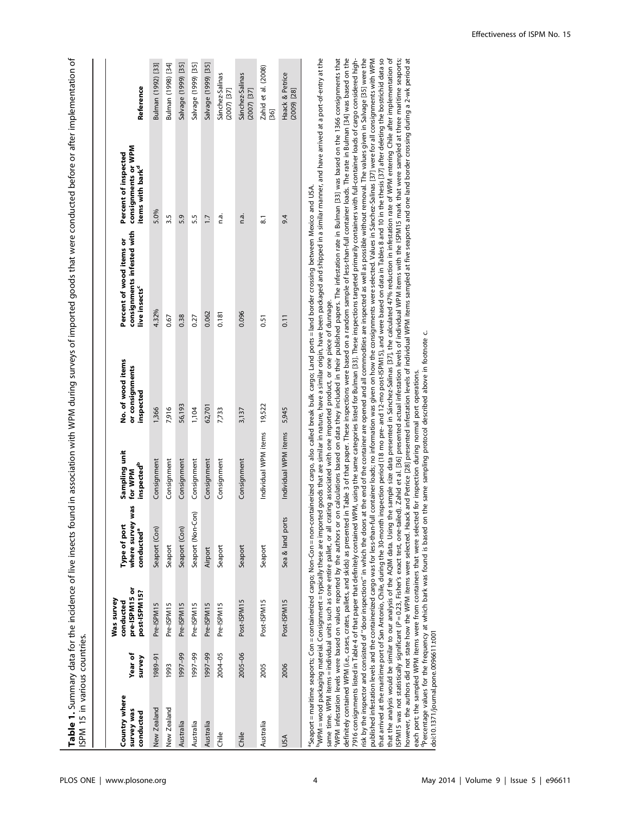Table 1. Summary data for the incidence of live insects found in association with WPM during surveys of imported goods that were conducted before or after implementation of Table 1. Summary data for the incidence of live insects found in association with WPM during surveys of imported goods that were conducted before or after implementation of ISPM 15 in various countries. ISPM 15 in various countries.

| Country where<br>survey was<br>conducted | Year of<br>survey | pre-ISPM15 or<br>post-ISPM15?<br>Was survey<br>conducted | vas<br>Type of port<br>where survey<br>conducted <sup>a</sup> | Sampling unit<br><b>inspected<sup>b</sup></b><br>for WPM | No. of wood items<br>or consignments<br>inspected | consignments infested with<br>Percent of wood items or<br>live insects <sup>c</sup> | consignments or WPM<br>Percent of inspected<br>items with bark <sup>d</sup> | Reference                              |
|------------------------------------------|-------------------|----------------------------------------------------------|---------------------------------------------------------------|----------------------------------------------------------|---------------------------------------------------|-------------------------------------------------------------------------------------|-----------------------------------------------------------------------------|----------------------------------------|
| New Zealand                              | 1989-91           | Pre-ISPM15                                               | Seaport (Con)                                                 | Consignment                                              | 1,366                                             | 4.32%                                                                               | 5.0%                                                                        | Bulman (1992) [33]                     |
| New Zealand                              | 1993              | Pre-ISPM15                                               | Seaport                                                       | Consignment                                              | 7,916                                             | 0.67                                                                                | 3.5                                                                         | Bulman (1998) [34]                     |
| Australia                                | 1997-99           | Pre-ISPM15                                               | Seaport (Con)                                                 | Consignment                                              | 56,193                                            | 0.38                                                                                | 5.9                                                                         | Salvage (1999) [35]                    |
| Australia                                | 1997-99           | Pre-ISPM15                                               | Con)<br>Seaport (Non-                                         | Consignment                                              | 1,104                                             | 0.27                                                                                | 5.5                                                                         | Salvage (1999) [35]                    |
| Australia                                | 1997-99           | Pre-ISPM15                                               | Airport                                                       | Consignment                                              | 62,701                                            | 0.062                                                                               | $\overline{1}$                                                              | Salvage (1999) [35]                    |
| Chile                                    | 2004-05           | Pre-ISPM15                                               | Seaport                                                       | Consignment                                              | 7,733                                             | 0.181                                                                               | n.a.                                                                        | Sánchez-Salinas<br>$(2007)$ [37]       |
| Chile                                    | 2005-06           | Post-ISPM15                                              | Seaport                                                       | Consignment                                              | 3,137                                             | 0.096                                                                               | n.a.                                                                        | Sánchez-Salinas<br>$(2007)$ [37]       |
| Australia                                | 2005              | Post-ISPM15                                              | Seaport                                                       | Individual WPM items                                     | 19,522                                            | 0.51                                                                                | 51                                                                          | Zahid et al. (2008)<br>$\overline{36}$ |
| υsΑ                                      | 2006              | Post-ISPM15                                              | Sea & land ports                                              | Individual WPM items                                     | 5,945                                             | 0.11                                                                                | 9.4                                                                         | Haack & Petrice<br>$(2009)$ $[28]$     |
|                                          |                   |                                                          |                                                               |                                                          |                                                   |                                                                                     |                                                                             |                                        |

"Seaport = maritime seaports; Con = containerized cargo; Non-Con = non-containerized cargo, also called break bulk cargo; Land ports = land border crossing between Mexico and USA.<br>"WPM = wood packaging material. Consignmen Seaport = maritime seaports; Con = containerized cargo; Non-Con = non-containerized cargo, also called break bulk cargo; Land ports = land border crossing between Mexico and USA.

WPM = wood packaging material. Consignment = typically these are imported goods that are similar in nature, have a similar origin, have been packaged and shipped in a similar manner, and have arrived at a port-of-entry at same time. WPM items = individual units such as one entire pallet, or all crating associated with one imported product, or one piece of dunnage. same time. WPM items = individual units such as one entire pallet, or all crating associated with one imported product, or one piece of dunnage.

ISPM15 was not statistically significant (P=0.23, Fisher's exact test, one-tailed). Zahid et al. [36] presented actual infestation levels of individual WPM items with the ISPM15 mark that were sampled at three maritime sea WPM infestation levels were based on values reported by the authors or on calculations based on data they included in their published papers. The infestation rate in Bulman [33] was based on the 1366 consignments that definitely contained WPM (i.e., cases, crates, pallets, and skids) as presented in Table 3 of that paper. These inspections were based on a random sample of less-than-full container loads. The rate in Bulman [34] was based risk by the inspector and consisted of "door inspections" in which the doors at the end of the container are opened and all commodities are inspected as well as possible without removal. The values given in Salvage [35] we published infestation levels and the containerized cargo was for less-than-full container loads; no information was given on how the consignments were selected. Values in Sánchez-Salinas [37] were for all consignments with that arrived at the maritime port of San Antonio, Chile, during the 30-month inspection period (18 mo pre- and 12-mo post-ISPM15), and were based on data in Tables 8 and 10 in the thesis [37] after deleting the bostrichid that the analysis would be similar to our analysis of the AQIM data. Using the sample size data presented in Sanchez-Salinas [37], the calculated 47% reduction in infestation rate of WPM entering Chile after implementation that the analysis would be similar to our analysis of the AQM data. Using the sample size data presented in Sanchez-Salinas [37], the calculated 47% reduction in infestation rate of WPM entering Chile after implementation however, the authors did not state how the WPM items were selected. Haack and Pertice [28] presented infestation levels of individual WPM items sampled at five seaports and one land border crossing during a 2-wk period at cWPM infestation levels were based on values reported by the authors or on calculations based on data they included in their published papers. The infestation rate in Bulman [33] was based on the 1366 consignments that definitely contained WPM (i.e., cases, crates, pallets, and skids) as presented in Table 3 of that paper. These inspections were based on a random sample of less-than-full container loads. The rate in Bulman [34] was based 7916 consignments listed in Table 4 of that paper that definitely contained WPM, using the same categories listed for Bulman [33]. These inspections targeted primarily containers with full-container loads of cargo consider 7916 consignments listed in Table 4 of that paper that definitely contained WPM, using the same categories listed for Bulman [33]. These inspections targeted primarily containers with full-container loads of cargo consider risk by the inspector and consisted of "door inspections" in which the doors at the end of the container are opened and all commodities are inspected as well as possible without removal. The values given in Salvage [35] we published infestation levels and the containerized cargo was for less-than-full container loads; no information was given on how the consignments were selected. Values in Sánchez-Salinas [37] were for all consignments with that arrived at the maritime port of San Antonio, Chile, during the 13-mo onthi inspection period (18 mo pre- and 12-mo post-ISPM15), and were based on data in Tables 8 and 10 in the thesis [37] after deleting the bostrich SPM15 was not statistically significant (P=0.23, Fisher's exact test, one-tailed). Zahid et al. [36] presented actual infestation levels of individual WPM items with the ISPM15 mark that were sampled at three maritime seap however, the authors did not state how the WPM items were selected. Haack and Petrice [28] presented infestation levels of individual WPM items sampled at five seaports and one land border crossing during a 2-wk period at each port; the sampled WPM items were from containers that were selected for inspection during normal port operations.<br><sup>a</sup>Percentage values for the frequency at which bark was found is based on the same sampling protocol d dPercentage values for the frequency at which bark was found is based on the same sampling protocol described above in footnote c. each port; the sampled WPM items were from containers that were selected for inspection during normal port operations. doi:10.1371/journal.pone.0096611.t001 doi:10.1371/journal.pone.0096611.t001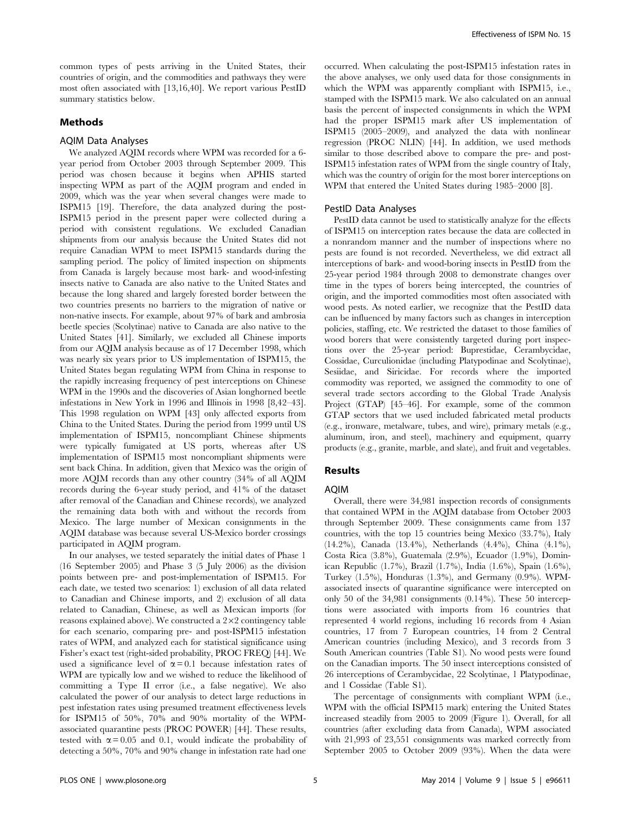common types of pests arriving in the United States, their countries of origin, and the commodities and pathways they were most often associated with [13,16,40]. We report various PestID summary statistics below.

# Methods

# AQIM Data Analyses

We analyzed AQIM records where WPM was recorded for a 6 year period from October 2003 through September 2009. This period was chosen because it begins when APHIS started inspecting WPM as part of the AQIM program and ended in 2009, which was the year when several changes were made to ISPM15 [19]. Therefore, the data analyzed during the post-ISPM15 period in the present paper were collected during a period with consistent regulations. We excluded Canadian shipments from our analysis because the United States did not require Canadian WPM to meet ISPM15 standards during the sampling period. The policy of limited inspection on shipments from Canada is largely because most bark- and wood-infesting insects native to Canada are also native to the United States and because the long shared and largely forested border between the two countries presents no barriers to the migration of native or non-native insects. For example, about 97% of bark and ambrosia beetle species (Scolytinae) native to Canada are also native to the United States [41]. Similarly, we excluded all Chinese imports from our AQIM analysis because as of 17 December 1998, which was nearly six years prior to US implementation of ISPM15, the United States began regulating WPM from China in response to the rapidly increasing frequency of pest interceptions on Chinese WPM in the 1990s and the discoveries of Asian longhorned beetle infestations in New York in 1996 and Illinois in 1998 [8,42–43]. This 1998 regulation on WPM [43] only affected exports from China to the United States. During the period from 1999 until US implementation of ISPM15, noncompliant Chinese shipments were typically fumigated at US ports, whereas after US implementation of ISPM15 most noncompliant shipments were sent back China. In addition, given that Mexico was the origin of more AQIM records than any other country (34% of all AQIM records during the 6-year study period, and 41% of the dataset after removal of the Canadian and Chinese records), we analyzed the remaining data both with and without the records from Mexico. The large number of Mexican consignments in the AQIM database was because several US-Mexico border crossings participated in AQIM program.

In our analyses, we tested separately the initial dates of Phase 1 (16 September 2005) and Phase 3 (5 July 2006) as the division points between pre- and post-implementation of ISPM15. For each date, we tested two scenarios: 1) exclusion of all data related to Canadian and Chinese imports, and 2) exclusion of all data related to Canadian, Chinese, as well as Mexican imports (for reasons explained above). We constructed a  $2\times 2$  contingency table for each scenario, comparing pre- and post-ISPM15 infestation rates of WPM, and analyzed each for statistical significance using Fisher's exact test (right-sided probability, PROC FREQ) [44]. We used a significance level of  $\alpha = 0.1$  because infestation rates of WPM are typically low and we wished to reduce the likelihood of committing a Type II error (i.e., a false negative). We also calculated the power of our analysis to detect large reductions in pest infestation rates using presumed treatment effectiveness levels for ISPM15 of 50%, 70% and 90% mortality of the WPMassociated quarantine pests (PROC POWER) [44]. These results, tested with  $\alpha = 0.05$  and 0.1, would indicate the probability of detecting a 50%, 70% and 90% change in infestation rate had one

occurred. When calculating the post-ISPM15 infestation rates in the above analyses, we only used data for those consignments in which the WPM was apparently compliant with ISPM15, i.e., stamped with the ISPM15 mark. We also calculated on an annual basis the percent of inspected consignments in which the WPM had the proper ISPM15 mark after US implementation of ISPM15 (2005–2009), and analyzed the data with nonlinear regression (PROC NLIN) [44]. In addition, we used methods similar to those described above to compare the pre- and post-ISPM15 infestation rates of WPM from the single country of Italy, which was the country of origin for the most borer interceptions on WPM that entered the United States during 1985–2000 [8].

#### PestID Data Analyses

PestID data cannot be used to statistically analyze for the effects of ISPM15 on interception rates because the data are collected in a nonrandom manner and the number of inspections where no pests are found is not recorded. Nevertheless, we did extract all interceptions of bark- and wood-boring insects in PestID from the 25-year period 1984 through 2008 to demonstrate changes over time in the types of borers being intercepted, the countries of origin, and the imported commodities most often associated with wood pests. As noted earlier, we recognize that the PestID data can be influenced by many factors such as changes in interception policies, staffing, etc. We restricted the dataset to those families of wood borers that were consistently targeted during port inspections over the 25-year period: Buprestidae, Cerambycidae, Cossidae, Curculionidae (including Platypodinae and Scolytinae), Sesiidae, and Siricidae. For records where the imported commodity was reported, we assigned the commodity to one of several trade sectors according to the Global Trade Analysis Project (GTAP) [45–46]. For example, some of the common GTAP sectors that we used included fabricated metal products (e.g., ironware, metalware, tubes, and wire), primary metals (e.g., aluminum, iron, and steel), machinery and equipment, quarry products (e.g., granite, marble, and slate), and fruit and vegetables.

# Results

## AQIM

Overall, there were 34,981 inspection records of consignments that contained WPM in the AQIM database from October 2003 through September 2009. These consignments came from 137 countries, with the top 15 countries being Mexico (33.7%), Italy (14.2%), Canada (13.4%), Netherlands (4.4%), China (4.1%), Costa Rica (3.8%), Guatemala (2.9%), Ecuador (1.9%), Dominican Republic (1.7%), Brazil (1.7%), India (1.6%), Spain (1.6%), Turkey (1.5%), Honduras (1.3%), and Germany (0.9%). WPMassociated insects of quarantine significance were intercepted on only 50 of the 34,981 consignments (0.14%). These 50 interceptions were associated with imports from 16 countries that represented 4 world regions, including 16 records from 4 Asian countries, 17 from 7 European countries, 14 from 2 Central American countries (including Mexico), and 3 records from 3 South American countries (Table S1). No wood pests were found on the Canadian imports. The 50 insect interceptions consisted of 26 interceptions of Cerambycidae, 22 Scolytinae, 1 Platypodinae, and 1 Cossidae (Table S1).

The percentage of consignments with compliant WPM (i.e., WPM with the official ISPM15 mark) entering the United States increased steadily from 2005 to 2009 (Figure 1). Overall, for all countries (after excluding data from Canada), WPM associated with 21,993 of 23,551 consignments was marked correctly from September 2005 to October 2009 (93%). When the data were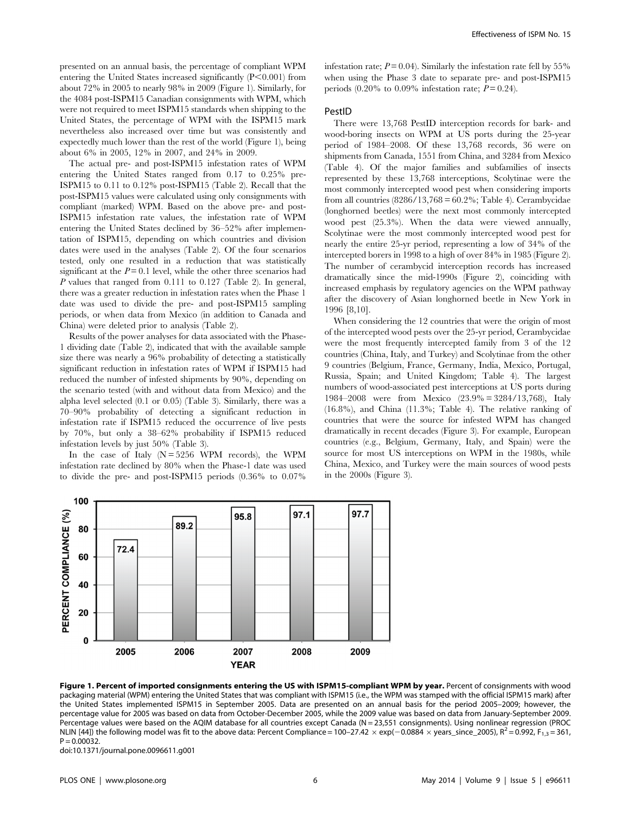presented on an annual basis, the percentage of compliant WPM entering the United States increased significantly  $(P<0.001)$  from about 72% in 2005 to nearly 98% in 2009 (Figure 1). Similarly, for the 4084 post-ISPM15 Canadian consignments with WPM, which were not required to meet ISPM15 standards when shipping to the United States, the percentage of WPM with the ISPM15 mark nevertheless also increased over time but was consistently and expectedly much lower than the rest of the world (Figure 1), being about 6% in 2005, 12% in 2007, and 24% in 2009.

The actual pre- and post-ISPM15 infestation rates of WPM entering the United States ranged from 0.17 to 0.25% pre-ISPM15 to 0.11 to 0.12% post-ISPM15 (Table 2). Recall that the post-ISPM15 values were calculated using only consignments with compliant (marked) WPM. Based on the above pre- and post-ISPM15 infestation rate values, the infestation rate of WPM entering the United States declined by 36–52% after implementation of ISPM15, depending on which countries and division dates were used in the analyses (Table 2). Of the four scenarios tested, only one resulted in a reduction that was statistically significant at the  $P = 0.1$  level, while the other three scenarios had P values that ranged from 0.111 to 0.127 (Table 2). In general, there was a greater reduction in infestation rates when the Phase 1 date was used to divide the pre- and post-ISPM15 sampling periods, or when data from Mexico (in addition to Canada and China) were deleted prior to analysis (Table 2).

Results of the power analyses for data associated with the Phase-1 dividing date (Table 2), indicated that with the available sample size there was nearly a 96% probability of detecting a statistically significant reduction in infestation rates of WPM if ISPM15 had reduced the number of infested shipments by 90%, depending on the scenario tested (with and without data from Mexico) and the alpha level selected (0.1 or 0.05) (Table 3). Similarly, there was a 70–90% probability of detecting a significant reduction in infestation rate if ISPM15 reduced the occurrence of live pests by 70%, but only a 38–62% probability if ISPM15 reduced infestation levels by just 50% (Table 3).

In the case of Italy  $(N = 5256$  WPM records), the WPM infestation rate declined by 80% when the Phase-1 date was used to divide the pre- and post-ISPM15 periods (0.36% to 0.07%

infestation rate;  $P = 0.04$ ). Similarly the infestation rate fell by 55% when using the Phase 3 date to separate pre- and post-ISPM15 periods  $(0.20\%$  to  $0.09\%$  infestation rate;  $P = 0.24$ ).

## PestID

There were 13,768 PestID interception records for bark- and wood-boring insects on WPM at US ports during the 25-year period of 1984–2008. Of these 13,768 records, 36 were on shipments from Canada, 1551 from China, and 3284 from Mexico (Table 4). Of the major families and subfamilies of insects represented by these 13,768 interceptions, Scolytinae were the most commonly intercepted wood pest when considering imports from all countries  $(8286/13,768 = 60.2\%$ ; Table 4). Cerambycidae (longhorned beetles) were the next most commonly intercepted wood pest (25.3%). When the data were viewed annually, Scolytinae were the most commonly intercepted wood pest for nearly the entire 25-yr period, representing a low of 34% of the intercepted borers in 1998 to a high of over 84% in 1985 (Figure 2). The number of cerambycid interception records has increased dramatically since the mid-1990s (Figure 2), coinciding with increased emphasis by regulatory agencies on the WPM pathway after the discovery of Asian longhorned beetle in New York in 1996 [8,10].

When considering the 12 countries that were the origin of most of the intercepted wood pests over the 25-yr period, Cerambycidae were the most frequently intercepted family from 3 of the 12 countries (China, Italy, and Turkey) and Scolytinae from the other 9 countries (Belgium, France, Germany, India, Mexico, Portugal, Russia, Spain; and United Kingdom; Table 4). The largest numbers of wood-associated pest interceptions at US ports during 1984–2008 were from Mexico (23.9% = 3284/13,768), Italy (16.8%), and China (11.3%; Table 4). The relative ranking of countries that were the source for infested WPM has changed dramatically in recent decades (Figure 3). For example, European countries (e.g., Belgium, Germany, Italy, and Spain) were the source for most US interceptions on WPM in the 1980s, while China, Mexico, and Turkey were the main sources of wood pests in the 2000s (Figure 3).



Figure 1. Percent of imported consignments entering the US with ISPM15-compliant WPM by year. Percent of consignments with wood packaging material (WPM) entering the United States that was compliant with ISPM15 (i.e., the WPM was stamped with the official ISPM15 mark) after the United States implemented ISPM15 in September 2005. Data are presented on an annual basis for the period 2005–2009; however, the percentage value for 2005 was based on data from October-December 2005, while the 2009 value was based on data from January-September 2009. Percentage values were based on the AQIM database for all countries except Canada (N = 23,551 consignments). Using nonlinear regression (PROC NLIN [44]) the following model was fit to the above data: Percent Compliance = 100-27.42  $\times$  exp(-0.0884  $\times$  years\_since\_2005), R<sup>2</sup> = 0.992, F<sub>1,3</sub> = 361,  $P = 0.00032$ 

doi:10.1371/journal.pone.0096611.g001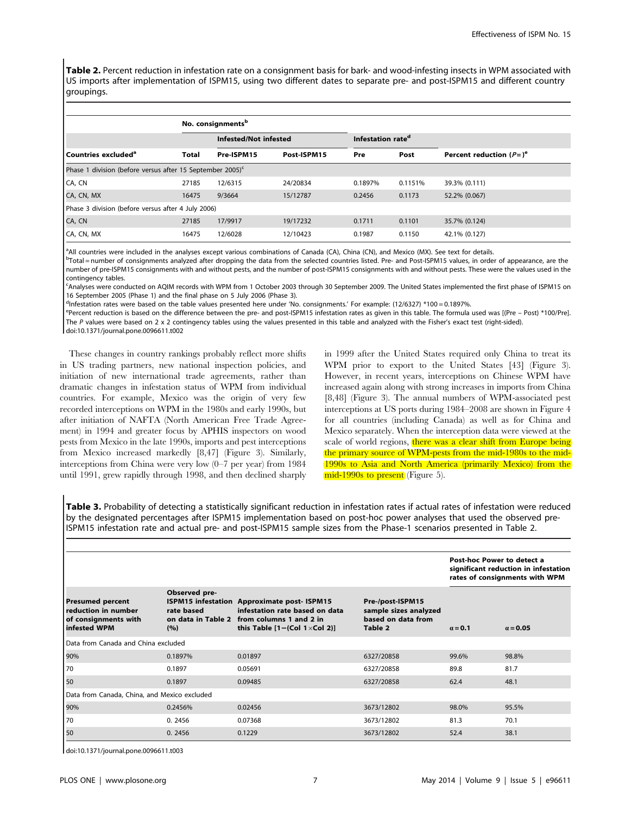Table 2. Percent reduction in infestation rate on a consignment basis for bark- and wood-infesting insects in WPM associated with US imports after implementation of ISPM15, using two different dates to separate pre- and post-ISPM15 and different country groupings.

|                                                                       |       | No. consignments <sup>b</sup> |             |                               |         |                            |
|-----------------------------------------------------------------------|-------|-------------------------------|-------------|-------------------------------|---------|----------------------------|
|                                                                       |       | Infested/Not infested         |             | Infestation rate <sup>d</sup> |         |                            |
| l Countries excluded <sup>a</sup>                                     | Total | Pre-ISPM15                    | Post-ISPM15 | Pre                           | Post    | Percent reduction $(P=)^e$ |
| Phase 1 division (before versus after 15 September 2005) <sup>c</sup> |       |                               |             |                               |         |                            |
| CA, CN                                                                | 27185 | 12/6315                       | 24/20834    | 0.1897%                       | 0.1151% | 39.3% (0.111)              |
| CA, CN, MX                                                            | 16475 | 9/3664                        | 15/12787    | 0.2456                        | 0.1173  | 52.2% (0.067)              |
| Phase 3 division (before versus after 4 July 2006)                    |       |                               |             |                               |         |                            |
| CA, CN                                                                | 27185 | 17/9917                       | 19/17232    | 0.1711                        | 0.1101  | 35.7% (0.124)              |
| CA, CN, MX                                                            | 16475 | 12/6028                       | 12/10423    | 0.1987                        | 0.1150  | 42.1% (0.127)              |

a All countries were included in the analyses except various combinations of Canada (CA), China (CN), and Mexico (MX). See text for details.

<sup>b</sup>Total = number of consignments analyzed after dropping the data from the selected countries listed. Pre- and Post-ISPM15 values, in order of appearance, are the number of pre-ISPM15 consignments with and without pests, and the number of post-ISPM15 consignments with and without pests. These were the values used in the contingency tables.

c Analyses were conducted on AQIM records with WPM from 1 October 2003 through 30 September 2009. The United States implemented the first phase of ISPM15 on 16 September 2005 (Phase 1) and the final phase on 5 July 2006 (Phase 3).

dInfestation rates were based on the table values presented here under 'No. consignments.' For example: (12/6327) \*100 = 0.1897%

epercent reduction is based on the difference between the pre- and post-ISPM15 infestation rates as given in this table. The formula used was [(Pre - Post) \*100/Pre]. The P values were based on 2 x 2 contingency tables using the values presented in this table and analyzed with the Fisher's exact test (right-sided). doi:10.1371/journal.pone.0096611.t002

These changes in country rankings probably reflect more shifts in US trading partners, new national inspection policies, and initiation of new international trade agreements, rather than dramatic changes in infestation status of WPM from individual countries. For example, Mexico was the origin of very few recorded interceptions on WPM in the 1980s and early 1990s, but after initiation of NAFTA (North American Free Trade Agreement) in 1994 and greater focus by APHIS inspectors on wood pests from Mexico in the late 1990s, imports and pest interceptions from Mexico increased markedly [8,47] (Figure 3). Similarly, interceptions from China were very low (0–7 per year) from 1984 until 1991, grew rapidly through 1998, and then declined sharply in 1999 after the United States required only China to treat its WPM prior to export to the United States [43] (Figure 3). However, in recent years, interceptions on Chinese WPM have increased again along with strong increases in imports from China [8,48] (Figure 3). The annual numbers of WPM-associated pest interceptions at US ports during 1984–2008 are shown in Figure 4 for all countries (including Canada) as well as for China and Mexico separately. When the interception data were viewed at the scale of world regions, there was a clear shift from Europe being the primary source of WPM-pests from the mid-1980s to the mid-1990s to Asia and North America (primarily Mexico) from the mid-1990s to present (Figure 5).

Table 3. Probability of detecting a statistically significant reduction in infestation rates if actual rates of infestation were reduced by the designated percentages after ISPM15 implementation based on post-hoc power analyses that used the observed pre-ISPM15 infestation rate and actual pre- and post-ISPM15 sample sizes from the Phase-1 scenarios presented in Table 2.

|                                                                                        |                                                                                       |                                                                                                                                        |                                                                            | Post-hoc Power to detect a | significant reduction in infestation<br>rates of consignments with WPM |
|----------------------------------------------------------------------------------------|---------------------------------------------------------------------------------------|----------------------------------------------------------------------------------------------------------------------------------------|----------------------------------------------------------------------------|----------------------------|------------------------------------------------------------------------|
| <b>Presumed percent</b><br>reduction in number<br>of consignments with<br>infested WPM | Observed pre-<br><b>ISPM15</b> infestation<br>rate based<br>on data in Table 2<br>(%) | <b>Approximate post-ISPM15</b><br>infestation rate based on data<br>from columns 1 and 2 in<br>this Table $[1 - (Col 1 \times Col 2)]$ | Pre-/post-ISPM15<br>sample sizes analyzed<br>based on data from<br>Table 2 | $a = 0.1$                  | $\alpha = 0.05$                                                        |
| Data from Canada and China excluded                                                    |                                                                                       |                                                                                                                                        |                                                                            |                            |                                                                        |
| 90%                                                                                    | 0.1897%                                                                               | 0.01897                                                                                                                                | 6327/20858                                                                 | 99.6%                      | 98.8%                                                                  |
| l 70                                                                                   | 0.1897                                                                                | 0.05691                                                                                                                                | 6327/20858                                                                 | 89.8                       | 81.7                                                                   |
| 50                                                                                     | 0.1897                                                                                | 0.09485                                                                                                                                | 6327/20858                                                                 | 62.4                       | 48.1                                                                   |
| Data from Canada, China, and Mexico excluded                                           |                                                                                       |                                                                                                                                        |                                                                            |                            |                                                                        |
| 90%                                                                                    | 0.2456%                                                                               | 0.02456                                                                                                                                | 3673/12802                                                                 | 98.0%                      | 95.5%                                                                  |
| 70                                                                                     | 0.2456                                                                                | 0.07368                                                                                                                                | 3673/12802                                                                 | 81.3                       | 70.1                                                                   |
| 50                                                                                     | 0.2456                                                                                | 0.1229                                                                                                                                 | 3673/12802                                                                 | 52.4                       | 38.1                                                                   |

doi:10.1371/journal.pone.0096611.t003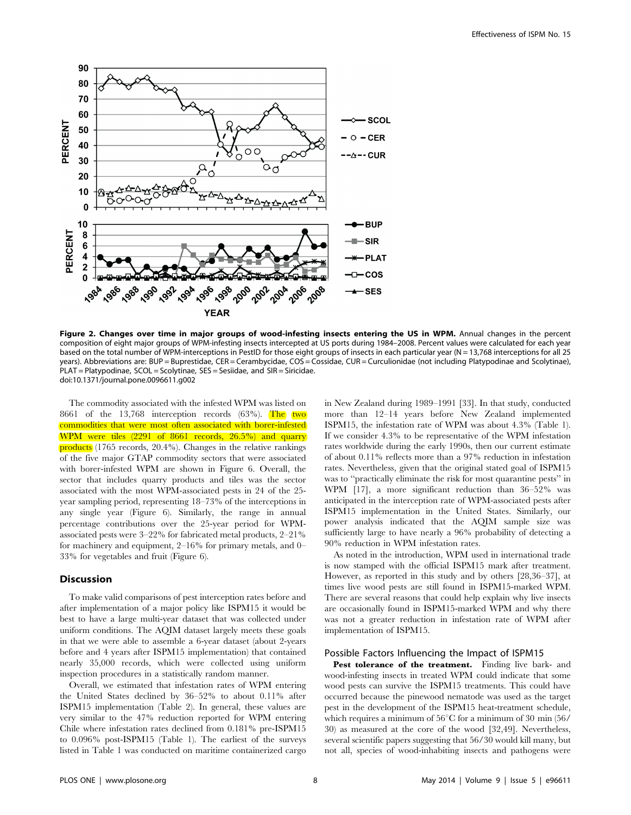

Figure 2. Changes over time in major groups of wood-infesting insects entering the US in WPM. Annual changes in the percent composition of eight major groups of WPM-infesting insects intercepted at US ports during 1984–2008. Percent values were calculated for each year based on the total number of WPM-interceptions in PestID for those eight groups of insects in each particular year (N = 13,768 interceptions for all 25 years). Abbreviations are: BUP = Buprestidae, CER = Cerambycidae, COS = Cossidae, CUR = Curculionidae (not including Platypodinae and Scolytinae), PLAT = Platypodinae, SCOL = Scolytinae, SES = Sesiidae, and SIR = Siricidae. doi:10.1371/journal.pone.0096611.g002

The commodity associated with the infested WPM was listed on 8661 of the  $13,768$  interception records (63%). The two commodities that were most often associated with borer-infested WPM were tiles (2291 of 8661 records, 26.5%) and quarry products (1765 records, 20.4%). Changes in the relative rankings of the five major GTAP commodity sectors that were associated with borer-infested WPM are shown in Figure 6. Overall, the sector that includes quarry products and tiles was the sector associated with the most WPM-associated pests in 24 of the 25 year sampling period, representing 18–73% of the interceptions in any single year (Figure 6). Similarly, the range in annual percentage contributions over the 25-year period for WPMassociated pests were 3–22% for fabricated metal products, 2–21% for machinery and equipment, 2–16% for primary metals, and 0– 33% for vegetables and fruit (Figure 6).

## Discussion

To make valid comparisons of pest interception rates before and after implementation of a major policy like ISPM15 it would be best to have a large multi-year dataset that was collected under uniform conditions. The AQIM dataset largely meets these goals in that we were able to assemble a 6-year dataset (about 2-years before and 4 years after ISPM15 implementation) that contained nearly 35,000 records, which were collected using uniform inspection procedures in a statistically random manner.

Overall, we estimated that infestation rates of WPM entering the United States declined by 36–52% to about 0.11% after ISPM15 implementation (Table 2). In general, these values are very similar to the 47% reduction reported for WPM entering Chile where infestation rates declined from 0.181% pre-ISPM15 to 0.096% post-ISPM15 (Table 1). The earliest of the surveys listed in Table 1 was conducted on maritime containerized cargo

in New Zealand during 1989–1991 [33]. In that study, conducted more than 12–14 years before New Zealand implemented ISPM15, the infestation rate of WPM was about 4.3% (Table 1). If we consider 4.3% to be representative of the WPM infestation rates worldwide during the early 1990s, then our current estimate of about 0.11% reflects more than a 97% reduction in infestation rates. Nevertheless, given that the original stated goal of ISPM15 was to ''practically eliminate the risk for most quarantine pests'' in WPM [17], a more significant reduction than 36–52% was anticipated in the interception rate of WPM-associated pests after ISPM15 implementation in the United States. Similarly, our power analysis indicated that the AQIM sample size was sufficiently large to have nearly a 96% probability of detecting a 90% reduction in WPM infestation rates.

As noted in the introduction, WPM used in international trade is now stamped with the official ISPM15 mark after treatment. However, as reported in this study and by others [28,36–37], at times live wood pests are still found in ISPM15-marked WPM. There are several reasons that could help explain why live insects are occasionally found in ISPM15-marked WPM and why there was not a greater reduction in infestation rate of WPM after implementation of ISPM15.

#### Possible Factors Influencing the Impact of ISPM15

Pest tolerance of the treatment. Finding live bark- and wood-infesting insects in treated WPM could indicate that some wood pests can survive the ISPM15 treatments. This could have occurred because the pinewood nematode was used as the target pest in the development of the ISPM15 heat-treatment schedule, which requires a minimum of  $56^{\circ}$ C for a minimum of 30 min (56/ 30) as measured at the core of the wood [32,49]. Nevertheless, several scientific papers suggesting that 56/30 would kill many, but not all, species of wood-inhabiting insects and pathogens were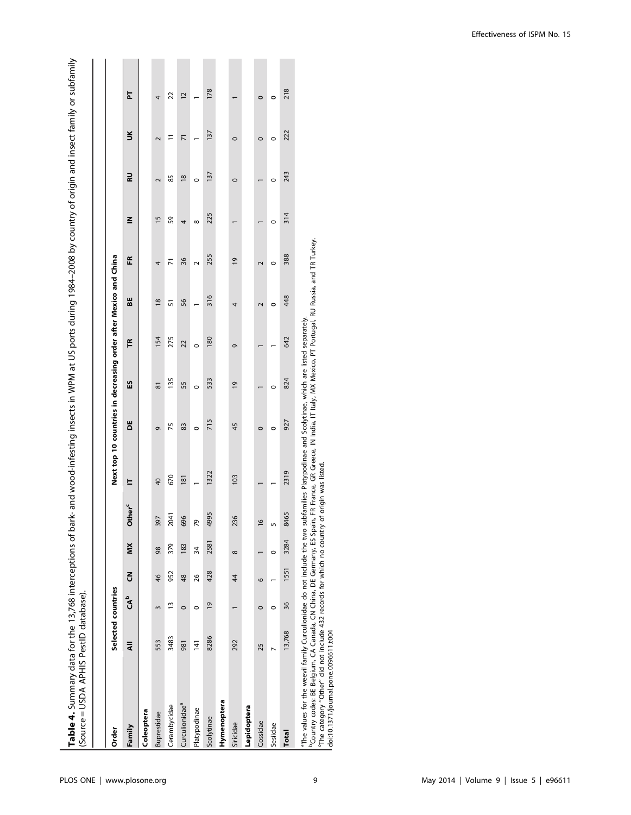| í<br>ׇ֚֬֕֓֡                                                                                    |                                                                                                              |
|------------------------------------------------------------------------------------------------|--------------------------------------------------------------------------------------------------------------|
|                                                                                                |                                                                                                              |
|                                                                                                |                                                                                                              |
| 11:00mm 12:00mm 12:00mm 1                                                                      |                                                                                                              |
|                                                                                                |                                                                                                              |
|                                                                                                |                                                                                                              |
|                                                                                                |                                                                                                              |
|                                                                                                |                                                                                                              |
|                                                                                                |                                                                                                              |
| 2002-01-21                                                                                     |                                                                                                              |
| $\frac{1}{2}$ incident 1984–2008 by country of origin and insect family or sub-<br>:<br>:<br>: |                                                                                                              |
|                                                                                                |                                                                                                              |
| ゞ ^ ^ ^ ^ ヽ ヽ ヽ ヽ ヽ ヽ                                                                          |                                                                                                              |
| valincarte in MDM at IIC note di                                                               |                                                                                                              |
|                                                                                                |                                                                                                              |
| - 22222-2222                                                                                   |                                                                                                              |
| )<br>)<br>)<br>)<br>)<br>k- and wood-infestinc                                                 |                                                                                                              |
|                                                                                                |                                                                                                              |
|                                                                                                |                                                                                                              |
| i                                                                                              |                                                                                                              |
|                                                                                                |                                                                                                              |
| <br>- 1<br>1<br>1<br>1<br>1                                                                    |                                                                                                              |
| $+ - 527$ C.<br>こうこう こうこう                                                                      | ׅ֧֧ׅ֧֧֧֦֧ׅ֧֦֧ׅ֧֦֧ׅ֧֧֦֧ׅ֧֧֧֦֧֦֧֦֧֧֦֧֦֧֦֧֦֧֧֛֛֧֛֚֚֚֚֚֚֚֚֚֡֕֕֜֓֡֓֕֓֝֓֕֓֜֓֓֝֓֝֓֜֓֜֓֓֜֓֓֝֓֜֓֝֬֝֓֓֝֓֓֜֓            |
|                                                                                                |                                                                                                              |
| )<br> <br> }<br> }                                                                             | 5                                                                                                            |
|                                                                                                | こここ                                                                                                          |
|                                                                                                | ֚֝<br>֧֪֧֧֪֪֧֧֧֪֪֪֧֧֧֧֧֚֚֚֚֚֚֚֚֚֚֚֚֚֚֚֚֚֚֚֚֚֝֝֝֝֝֝֝֝֝֬֝֝֬֝֝֬֝֬֝֟֝֬֝֬֝֬֝֬֝֬֝֬֝֬֝֬֝֬֝֬֝֬<br>・・・・・ うっつ ー リノラ 〜! |
| ら・<br>・・)<br>ノ                                                                                 | $-1$ d $\sqrt{2}$                                                                                            |
|                                                                                                |                                                                                                              |

| Order                                                                    | Selected countries |                 |                           |          |                              | Next top 10 countries in decreasing order after Mexico and China     |         |                |         |               |                 |               |               |                      |                |
|--------------------------------------------------------------------------|--------------------|-----------------|---------------------------|----------|------------------------------|----------------------------------------------------------------------|---------|----------------|---------|---------------|-----------------|---------------|---------------|----------------------|----------------|
| Family                                                                   | ₹                  | CA <sup>o</sup> | $\overline{5}$            | XIN      | ther <sup>c</sup><br>$\circ$ | 느                                                                    | ŏ       | 53             | F       | 56            | Æ               | ≧             | RU            | $\breve{\mathbf{5}}$ | 눕              |
| Coleoptera                                                               |                    |                 |                           |          |                              |                                                                      |         |                |         |               |                 |               |               |                      |                |
| Buprestidae                                                              | 553                | $\mathsf{S}$    | $\frac{4}{6}$             | 98       | 397                          | 40                                                                   | ō       | 81             | 154     | $\frac{8}{2}$ | 4               | $\frac{5}{2}$ | 2             | $\sim$               | 4              |
| Cerambycidae                                                             | 3483               | $\frac{1}{2}$   | 952                       | 379      | 2041                         | 670                                                                  | 75      | 135            | 275     | 57            | $\overline{K}$  | 59            | 85            | Ξ                    | 22             |
| Curculionidae <sup>a</sup>                                               | 981                | $\circ$         | $\frac{48}{5}$            | 183      | 696                          | 181                                                                  | 83      | 55             | 22      | 56            | 36              | 4             | $\frac{8}{2}$ | $\overline{7}$       | $\overline{c}$ |
| Platypodinae                                                             | $\overline{141}$   | 0               | 26                        | 34       | 79                           |                                                                      | $\circ$ | $\circ$        | $\circ$ |               | $\sim$          | $\infty$      | $\circ$       |                      |                |
| Scolytinae                                                               | 8286               | $\overline{0}$  | 428                       | 2581     | 4995                         | 1322                                                                 | 715     | 533            | 180     | 316           | 255             | 225           | 137           | 137                  | 178            |
| Hymenoptera                                                              |                    |                 |                           |          |                              |                                                                      |         |                |         |               |                 |               |               |                      |                |
| Siricidae                                                                | 292                |                 | $\overline{\overline{4}}$ | $\infty$ | 236                          | 103                                                                  | 45      | $\overline{6}$ | ō       | 4             | $\overline{6}1$ |               | $\circ$       | $\circ$              |                |
| Lepidoptera                                                              |                    |                 |                           |          |                              |                                                                      |         |                |         |               |                 |               |               |                      |                |
| Cossidae                                                                 | 25                 | $\circ$         | $\circ$                   |          | $\frac{6}{2}$                |                                                                      | $\circ$ |                |         | $\sim$        | $\sim$          |               |               | $\circ$              | $\circ$        |
| Sesiidae                                                                 |                    | $\circ$         |                           | $\circ$  | 5                            |                                                                      | $\circ$ | $\circ$        |         | $\circ$       | $\circ$         | $\circ$       | $\circ$       | $\circ$              | $\circ$        |
| <b>Total</b>                                                             | 13,768             | 36              | 1551                      | 3284     | 8465                         | 2319                                                                 | 927     | 824            | 642     | 448           | 388             | 314           | 243           | 222                  | 218            |
| The values for the weevil family Curculionidae do not include the two su |                    |                 |                           |          |                              | ubfamilies Platypodinae and Scolytinae, which are listed separately. |         |                |         |               |                 |               |               |                      |                |

<sup>b</sup>County codes: BE Belgium, CA Canada, CN China, DE Germany, ES Spain, FR France, GR Greece, IN India, IT Italy, MX Mexico, PT Portugal, RU Russia, and TR Turkey.<br>°The category "Other" did not include 432 records for whic "Country codes: BE Belgium, CA Canada, CN China, DE Germany, ES Spain, FR France, GR Greece, IN India, IT Italy, MX Mexico, PT Portugal, RU Russia, and TR Turkey.<br>"The category "Other" did not include 432 records for which

doi:10.1371/journal.pone.0096611.t004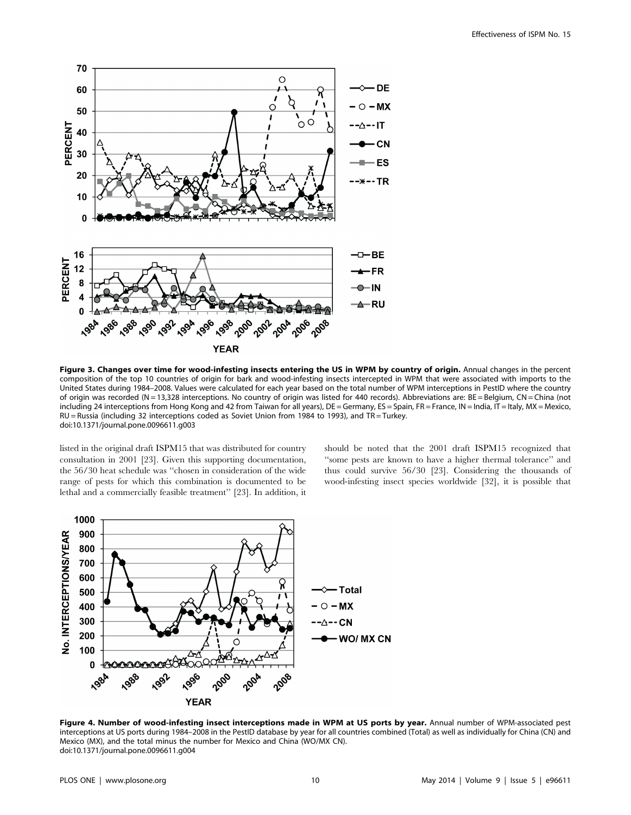

Figure 3. Changes over time for wood-infesting insects entering the US in WPM by country of origin. Annual changes in the percent composition of the top 10 countries of origin for bark and wood-infesting insects intercepted in WPM that were associated with imports to the United States during 1984–2008. Values were calculated for each year based on the total number of WPM interceptions in PestID where the country of origin was recorded (N = 13,328 interceptions. No country of origin was listed for 440 records). Abbreviations are: BE = Belgium, CN = China (not including 24 interceptions from Hong Kong and 42 from Taiwan for all years), DE = Germany, ES = Spain, FR = France, IN = India, IT = Italy, MX = Mexico, RU = Russia (including 32 interceptions coded as Soviet Union from 1984 to 1993), and TR = Turkey. doi:10.1371/journal.pone.0096611.g003

listed in the original draft ISPM15 that was distributed for country consultation in 2001 [23]. Given this supporting documentation, the 56/30 heat schedule was ''chosen in consideration of the wide range of pests for which this combination is documented to be lethal and a commercially feasible treatment'' [23]. In addition, it should be noted that the 2001 draft ISPM15 recognized that ''some pests are known to have a higher thermal tolerance'' and thus could survive 56/30 [23]. Considering the thousands of wood-infesting insect species worldwide [32], it is possible that



Figure 4. Number of wood-infesting insect interceptions made in WPM at US ports by year. Annual number of WPM-associated pest interceptions at US ports during 1984–2008 in the PestID database by year for all countries combined (Total) as well as individually for China (CN) and Mexico (MX), and the total minus the number for Mexico and China (WO/MX CN). doi:10.1371/journal.pone.0096611.g004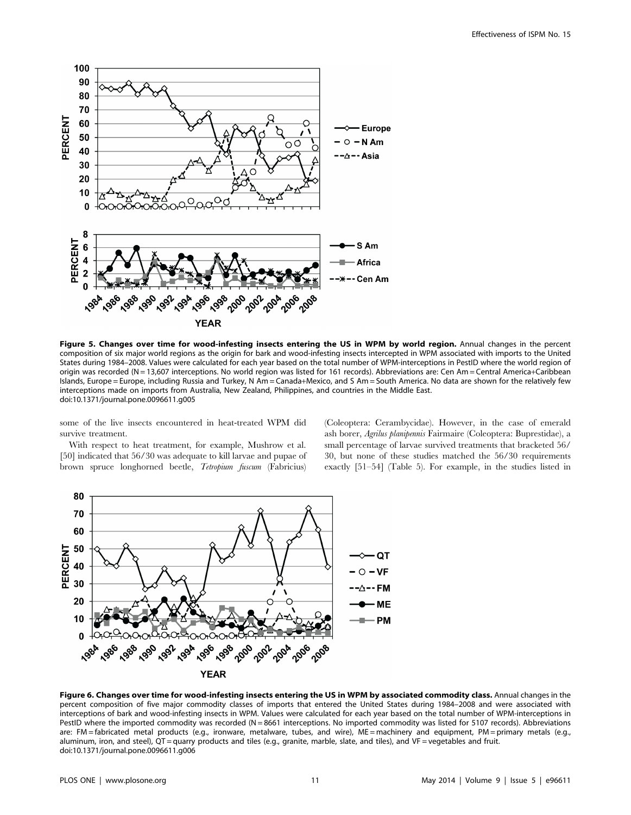

Figure 5. Changes over time for wood-infesting insects entering the US in WPM by world region. Annual changes in the percent composition of six major world regions as the origin for bark and wood-infesting insects intercepted in WPM associated with imports to the United States during 1984–2008. Values were calculated for each year based on the total number of WPM-interceptions in PestID where the world region of origin was recorded (N = 13,607 interceptions. No world region was listed for 161 records). Abbreviations are: Cen Am = Central America+Caribbean Islands, Europe = Europe, including Russia and Turkey, N Am = Canada+Mexico, and S Am = South America. No data are shown for the relatively few interceptions made on imports from Australia, New Zealand, Philippines, and countries in the Middle East. doi:10.1371/journal.pone.0096611.g005

some of the live insects encountered in heat-treated WPM did survive treatment.

With respect to heat treatment, for example, Mushrow et al. [50] indicated that 56/30 was adequate to kill larvae and pupae of brown spruce longhorned beetle, Tetropium fuscum (Fabricius)

(Coleoptera: Cerambycidae). However, in the case of emerald ash borer, Agrilus planipennis Fairmaire (Coleoptera: Buprestidae), a small percentage of larvae survived treatments that bracketed 56/ 30, but none of these studies matched the 56/30 requirements exactly [51–54] (Table 5). For example, in the studies listed in



Figure 6. Changes over time for wood-infesting insects entering the US in WPM by associated commodity class. Annual changes in the percent composition of five major commodity classes of imports that entered the United States during 1984–2008 and were associated with interceptions of bark and wood-infesting insects in WPM. Values were calculated for each year based on the total number of WPM-interceptions in PestID where the imported commodity was recorded (N = 8661 interceptions. No imported commodity was listed for 5107 records). Abbreviations are: FM = fabricated metal products (e.g., ironware, metalware, tubes, and wire), ME = machinery and equipment, PM = primary metals (e.g., aluminum, iron, and steel), QT = quarry products and tiles (e.g., granite, marble, slate, and tiles), and VF = vegetables and fruit. doi:10.1371/journal.pone.0096611.g006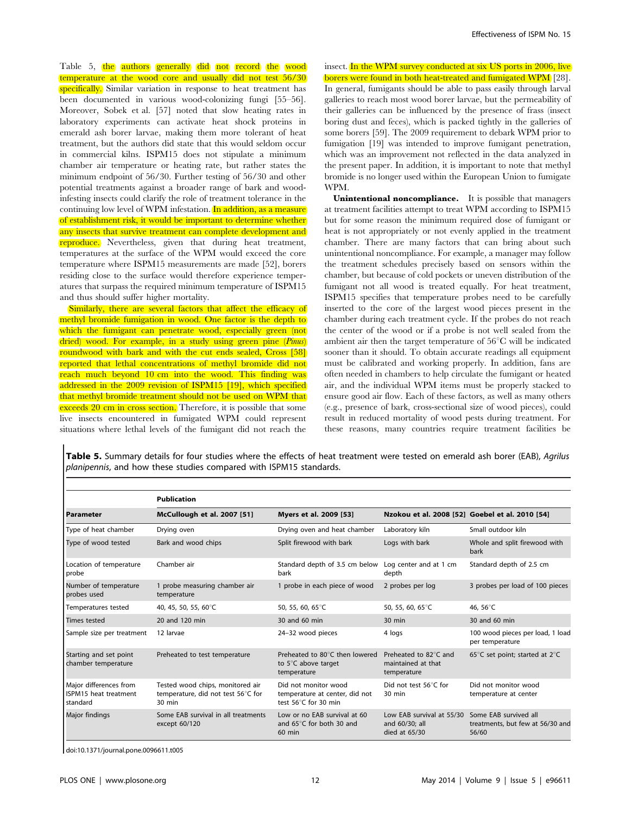Table 5, the authors generally did not record the wood temperature at the wood core and usually did not test 56/30 specifically. Similar variation in response to heat treatment has been documented in various wood-colonizing fungi [55–56]. Moreover, Sobek et al. [57] noted that slow heating rates in laboratory experiments can activate heat shock proteins in emerald ash borer larvae, making them more tolerant of heat treatment, but the authors did state that this would seldom occur in commercial kilns. ISPM15 does not stipulate a minimum chamber air temperature or heating rate, but rather states the minimum endpoint of 56/30. Further testing of 56/30 and other potential treatments against a broader range of bark and woodinfesting insects could clarify the role of treatment tolerance in the continuing low level of WPM infestation. In addition, as a measure of establishment risk, it would be important to determine whether any insects that survive treatment can complete development and reproduce. Nevertheless, given that during heat treatment, temperatures at the surface of the WPM would exceed the core temperature where ISPM15 measurements are made [52], borers residing close to the surface would therefore experience temperatures that surpass the required minimum temperature of ISPM15 and thus should suffer higher mortality.

Similarly, there are several factors that affect the efficacy of methyl bromide fumigation in wood. One factor is the depth to which the fumigant can penetrate wood, especially green (not dried) wood. For example, in a study using green pine (*Pinus*) roundwood with bark and with the cut ends sealed, Cross [58] reported that lethal concentrations of methyl bromide did not reach much beyond 10 cm into the wood. This finding was addressed in the 2009 revision of ISPM15 [19], which specified that methyl bromide treatment should not be used on WPM that exceeds 20 cm in cross section. Therefore, it is possible that some live insects encountered in fumigated WPM could represent situations where lethal levels of the fumigant did not reach the

insect. In the WPM survey conducted at six US ports in 2006, live borers were found in both heat-treated and fumigated WPM [28]. In general, fumigants should be able to pass easily through larval galleries to reach most wood borer larvae, but the permeability of their galleries can be influenced by the presence of frass (insect boring dust and feces), which is packed tightly in the galleries of some borers [59]. The 2009 requirement to debark WPM prior to fumigation [19] was intended to improve fumigant penetration, which was an improvement not reflected in the data analyzed in the present paper. In addition, it is important to note that methyl bromide is no longer used within the European Union to fumigate WPM.

Unintentional noncompliance. It is possible that managers at treatment facilities attempt to treat WPM according to ISPM15 but for some reason the minimum required dose of fumigant or heat is not appropriately or not evenly applied in the treatment chamber. There are many factors that can bring about such unintentional noncompliance. For example, a manager may follow the treatment schedules precisely based on sensors within the chamber, but because of cold pockets or uneven distribution of the fumigant not all wood is treated equally. For heat treatment, ISPM15 specifies that temperature probes need to be carefully inserted to the core of the largest wood pieces present in the chamber during each treatment cycle. If the probes do not reach the center of the wood or if a probe is not well sealed from the ambient air then the target temperature of  $56^{\circ}$ C will be indicated sooner than it should. To obtain accurate readings all equipment must be calibrated and working properly. In addition, fans are often needed in chambers to help circulate the fumigant or heated air, and the individual WPM items must be properly stacked to ensure good air flow. Each of these factors, as well as many others (e.g., presence of bark, cross-sectional size of wood pieces), could result in reduced mortality of wood pests during treatment. For these reasons, many countries require treatment facilities be

Table 5. Summary details for four studies where the effects of heat treatment were tested on emerald ash borer (EAB), Agrilus planipennis, and how these studies compared with ISPM15 standards.

|                                                             | <b>Publication</b>                                                                         |                                                                                |                                                                |                                                                    |
|-------------------------------------------------------------|--------------------------------------------------------------------------------------------|--------------------------------------------------------------------------------|----------------------------------------------------------------|--------------------------------------------------------------------|
| <b>Parameter</b>                                            | McCullough et al. 2007 [51]                                                                | Myers et al. 2009 [53]                                                         | Nzokou et al. 2008 [52] Goebel et al. 2010 [54]                |                                                                    |
| Type of heat chamber                                        | Drying oven                                                                                | Drying oven and heat chamber                                                   | Laboratory kiln                                                | Small outdoor kiln                                                 |
| Type of wood tested                                         | Bark and wood chips                                                                        | Split firewood with bark                                                       | Logs with bark                                                 | Whole and split firewood with<br>bark                              |
| Location of temperature<br>probe                            | Chamber air                                                                                | Standard depth of 3.5 cm below<br>bark                                         | Log center and at 1 cm<br>depth                                | Standard depth of 2.5 cm                                           |
| Number of temperature<br>probes used                        | 1 probe measuring chamber air<br>temperature                                               | 1 probe in each piece of wood                                                  | 2 probes per log                                               | 3 probes per load of 100 pieces                                    |
| Temperatures tested                                         | 40, 45, 50, 55, 60°C                                                                       | 50, 55, 60, 65 $\degree$ C                                                     | 50, 55, 60, 65°C                                               | 46, 56°C                                                           |
| <b>Times tested</b>                                         | 20 and 120 min                                                                             | 30 and 60 min                                                                  | $30$ min                                                       | 30 and 60 min                                                      |
| Sample size per treatment                                   | 12 larvae                                                                                  | 24-32 wood pieces                                                              | 4 logs                                                         | 100 wood pieces per load, 1 load<br>per temperature                |
| Starting and set point<br>chamber temperature               | Preheated to test temperature                                                              | Preheated to 80°C then lowered<br>to 5°C above target<br>temperature           | Preheated to 82°C and<br>maintained at that<br>temperature     | 65°C set point; started at 2°C                                     |
| Major differences from<br>ISPM15 heat treatment<br>standard | Tested wood chips, monitored air<br>temperature, did not test 56°C for<br>$30 \text{ min}$ | Did not monitor wood<br>temperature at center, did not<br>test 56°C for 30 min | Did not test 56°C for<br>30 min                                | Did not monitor wood<br>temperature at center                      |
| Major findings                                              | Some EAB survival in all treatments<br>except 60/120                                       | Low or no EAB survival at 60<br>and 65°C for both 30 and<br>$60$ min           | Low EAB survival at 55/30<br>and 60/30; all<br>died at $65/30$ | Some EAB survived all<br>treatments, but few at 56/30 and<br>56/60 |

doi:10.1371/journal.pone.0096611.t005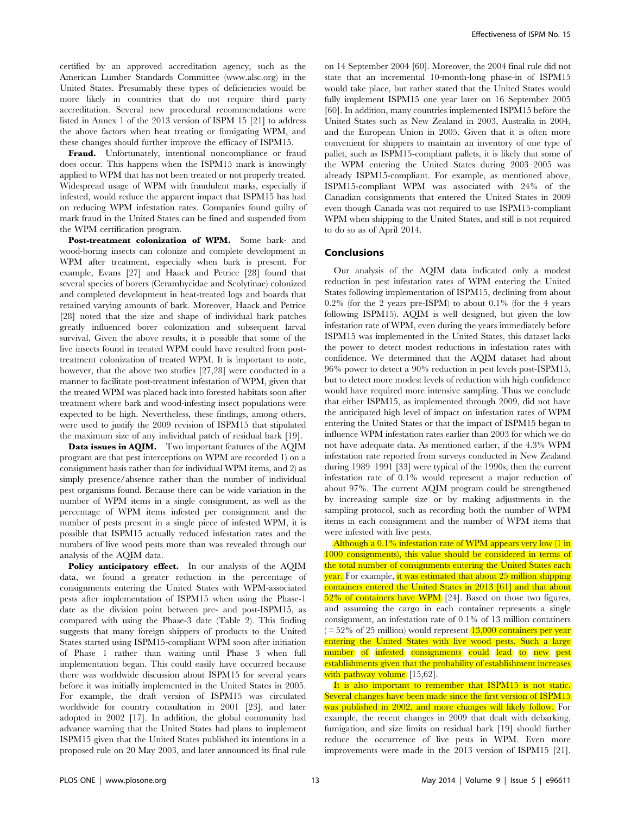certified by an approved accreditation agency, such as the American Lumber Standards Committee ([www.alsc.org\)](www.alsc.org) in the United States. Presumably these types of deficiencies would be more likely in countries that do not require third party accreditation. Several new procedural recommendations were listed in Annex 1 of the 2013 version of ISPM 15 [21] to address the above factors when heat treating or fumigating WPM, and these changes should further improve the efficacy of ISPM15.

Fraud. Unfortunately, intentional noncompliance or fraud does occur. This happens when the ISPM15 mark is knowingly applied to WPM that has not been treated or not properly treated. Widespread usage of WPM with fraudulent marks, especially if infested, would reduce the apparent impact that ISPM15 has had on reducing WPM infestation rates. Companies found guilty of mark fraud in the United States can be fined and suspended from the WPM certification program.

Post-treatment colonization of WPM. Some bark- and wood-boring insects can colonize and complete development in WPM after treatment, especially when bark is present. For example, Evans [27] and Haack and Petrice [28] found that several species of borers (Cerambycidae and Scolytinae) colonized and completed development in heat-treated logs and boards that retained varying amounts of bark. Moreover, Haack and Petrice [28] noted that the size and shape of individual bark patches greatly influenced borer colonization and subsequent larval survival. Given the above results, it is possible that some of the live insects found in treated WPM could have resulted from posttreatment colonization of treated WPM. It is important to note, however, that the above two studies [27,28] were conducted in a manner to facilitate post-treatment infestation of WPM, given that the treated WPM was placed back into forested habitats soon after treatment where bark and wood-infesting insect populations were expected to be high. Nevertheless, these findings, among others, were used to justify the 2009 revision of ISPM15 that stipulated the maximum size of any individual patch of residual bark [19].

Data issues in AQIM. Two important features of the AQIM program are that pest interceptions on WPM are recorded 1) on a consignment basis rather than for individual WPM items, and 2) as simply presence/absence rather than the number of individual pest organisms found. Because there can be wide variation in the number of WPM items in a single consignment, as well as the percentage of WPM items infested per consignment and the number of pests present in a single piece of infested WPM, it is possible that ISPM15 actually reduced infestation rates and the numbers of live wood pests more than was revealed through our analysis of the AQIM data.

Policy anticipatory effect. In our analysis of the AQIM data, we found a greater reduction in the percentage of consignments entering the United States with WPM-associated pests after implementation of ISPM15 when using the Phase-1 date as the division point between pre- and post-ISPM15, as compared with using the Phase-3 date (Table 2). This finding suggests that many foreign shippers of products to the United States started using ISPM15-compliant WPM soon after initiation of Phase 1 rather than waiting until Phase 3 when full implementation began. This could easily have occurred because there was worldwide discussion about ISPM15 for several years before it was initially implemented in the United States in 2005. For example, the draft version of ISPM15 was circulated worldwide for country consultation in 2001 [23], and later adopted in 2002 [17]. In addition, the global community had advance warning that the United States had plans to implement ISPM15 given that the United States published its intentions in a proposed rule on 20 May 2003, and later announced its final rule

on 14 September 2004 [60]. Moreover, the 2004 final rule did not state that an incremental 10-month-long phase-in of ISPM15 would take place, but rather stated that the United States would fully implement ISPM15 one year later on 16 September 2005 [60]. In addition, many countries implemented ISPM15 before the United States such as New Zealand in 2003, Australia in 2004, and the European Union in 2005. Given that it is often more convenient for shippers to maintain an inventory of one type of pallet, such as ISPM15-compliant pallets, it is likely that some of the WPM entering the United States during 2003–2005 was already ISPM15-compliant. For example, as mentioned above, ISPM15-compliant WPM was associated with 24% of the Canadian consignments that entered the United States in 2009 even though Canada was not required to use ISPM15-compliant WPM when shipping to the United States, and still is not required to do so as of April 2014.

# Conclusions

Our analysis of the AQIM data indicated only a modest reduction in pest infestation rates of WPM entering the United States following implementation of ISPM15, declining from about 0.2% (for the 2 years pre-ISPM) to about 0.1% (for the 4 years following ISPM15). AQIM is well designed, but given the low infestation rate of WPM, even during the years immediately before ISPM15 was implemented in the United States, this dataset lacks the power to detect modest reductions in infestation rates with confidence. We determined that the AQIM dataset had about 96% power to detect a 90% reduction in pest levels post-ISPM15, but to detect more modest levels of reduction with high confidence would have required more intensive sampling. Thus we conclude that either ISPM15, as implemented through 2009, did not have the anticipated high level of impact on infestation rates of WPM entering the United States or that the impact of ISPM15 began to influence WPM infestation rates earlier than 2003 for which we do not have adequate data. As mentioned earlier, if the 4.3% WPM infestation rate reported from surveys conducted in New Zealand during 1989–1991 [33] were typical of the 1990s, then the current infestation rate of 0.1% would represent a major reduction of about 97%. The current AQIM program could be strengthened by increasing sample size or by making adjustments in the sampling protocol, such as recording both the number of WPM items in each consignment and the number of WPM items that were infested with live pests.

Although a 0.1% infestation rate of WPM appears very low (1 in) 1000 consignments), this value should be considered in terms of the total number of consignments entering the United States each year. For example, it was estimated that about 25 million shipping containers entered the United States in 2013 [61] and that about 52% of containers have WPM [24]. Based on those two figures, and assuming the cargo in each container represents a single consignment, an infestation rate of 0.1% of 13 million containers  $( = 52\% \text{ of } 25 \text{ million})$  would represent  $13,000 \text{ containers per year}$ entering the United States with live wood pests. Such a large number of infested consignments could lead to new pest establishments given that the probability of establishment increases with pathway volume [15,62].

It is also important to remember that ISPM15 is not static. Several changes have been made since the first version of ISPM15 was published in 2002, and more changes will likely follow. For example, the recent changes in 2009 that dealt with debarking, fumigation, and size limits on residual bark [19] should further reduce the occurrence of live pests in WPM. Even more improvements were made in the 2013 version of ISPM15 [21].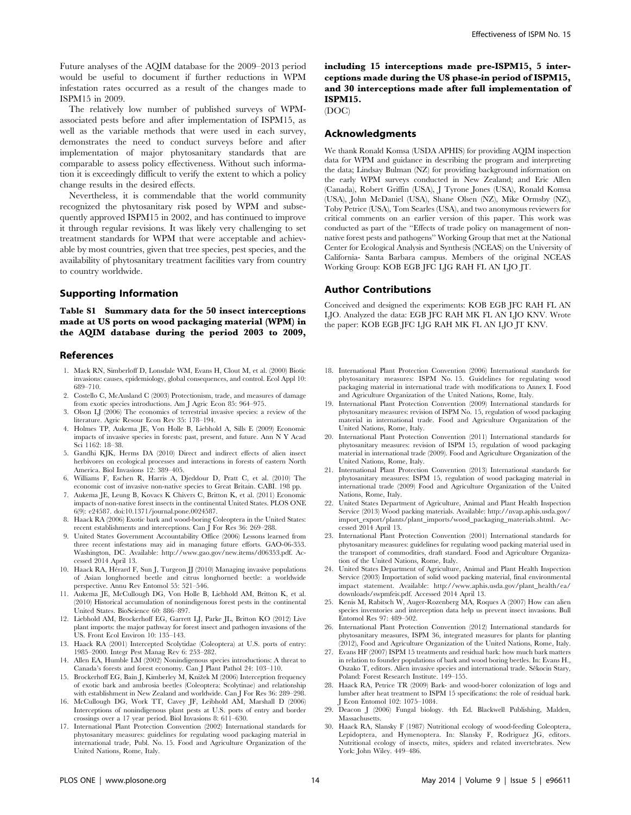Future analyses of the AQIM database for the 2009–2013 period would be useful to document if further reductions in WPM infestation rates occurred as a result of the changes made to ISPM15 in 2009.

The relatively low number of published surveys of WPMassociated pests before and after implementation of ISPM15, as well as the variable methods that were used in each survey, demonstrates the need to conduct surveys before and after implementation of major phytosanitary standards that are comparable to assess policy effectiveness. Without such information it is exceedingly difficult to verify the extent to which a policy change results in the desired effects.

Nevertheless, it is commendable that the world community recognized the phytosanitary risk posed by WPM and subsequently approved ISPM15 in 2002, and has continued to improve it through regular revisions. It was likely very challenging to set treatment standards for WPM that were acceptable and achievable by most countries, given that tree species, pest species, and the availability of phytosanitary treatment facilities vary from country to country worldwide.

# Supporting Information

Table S1 Summary data for the 50 insect interceptions made at US ports on wood packaging material (WPM) in the AQIM database during the period 2003 to 2009,

## References

- 1. Mack RN, Simberloff D, Lonsdale WM, Evans H, Clout M, et al. (2000) Biotic invasions: causes, epidemiology, global consequences, and control. Ecol Appl 10: 689–710.
- 2. Costello C, McAusland C (2003) Protectionism, trade, and measures of damage from exotic species introductions. Am J Agric Econ 85: 964–975.
- 3. Olson LJ (2006) The economics of terrestrial invasive species: a review of the literature. Agric Resour Econ Rev 35: 178–194.
- 4. Holmes TP, Aukema JE, Von Holle B, Liebhold A, Sills E (2009) Economic impacts of invasive species in forests: past, present, and future. Ann N Y Acad Sci 1162: 18–38.
- 5. Gandhi KJK, Herms DA (2010) Direct and indirect effects of alien insect herbivores on ecological processes and interactions in forests of eastern North America. Biol Invasions 12: 389–405.
- 6. Williams F, Eschen R, Harris A, Djeddour D, Pratt C, et al. (2010) The economic cost of invasive non-native species to Great Britain. CABI. 198 pp.
- 7. Aukema JE, Leung B, Kovacs K Chivers C, Britton K, et al. (2011) Economic impacts of non-native forest insects in the continental United States. PLOS ONE 6(9): e24587. doi:10.1371/journal.pone.0024587.
- 8. Haack RA (2006) Exotic bark and wood-boring Coleoptera in the United States: recent establishments and interceptions. Can I For Res 36: 269-288.
- 9. United States Government Accountability Office (2006) Lessons learned from three recent infestations may aid in managing future efforts. GAO-06-353. Washington, DC. Available:<http://www.gao.gov/new.items/d06353.pdf>. Accessed 2014 April 13.
- 10. Haack RA, Hérard F, Sun J, Turgeon JJ (2010) Managing invasive populations of Asian longhorned beetle and citrus longhorned beetle: a worldwide perspective. Annu Rev Entomol 55: 521–546.
- 11. Aukema JE, McCullough DG, Von Holle B, Liebhold AM, Britton K, et al. (2010) Historical accumulation of nonindigenous forest pests in the continental United States. BioScience 60: 886–897.
- 12. Liebhold AM, Brockerhoff EG, Garrett LJ, Parke JL, Britton KO (2012) Live plant imports: the major pathway for forest insect and pathogen invasions of the US. Front Ecol Environ 10: 135–143.
- 13. Haack RA (2001) Intercepted Scolytidae (Coleoptera) at U.S. ports of entry: 1985–2000. Integr Pest Manag Rev 6: 253–282.
- 14. Allen EA, Humble LM (2002) Nonindigenous species introductions: A threat to Canada's forests and forest economy. Can J Plant Pathol 24: 103–110.
- 15. Brockerhoff EG, Bain J, Kimberley M, Knížek M (2006) Interception frequency of exotic bark and ambrosia beetles (Coleoptera: Scolytinae) and relationship with establishment in New Zealand and worldwide. Can J For Res 36: 289–298.
- 16. McCullough DG, Work TT, Cavey JF, Leibhold AM, Marshall D (2006) Interceptions of nonindigenous plant pests at U.S. ports of entry and border crossings over a 17 year period. Biol Invasions 8: 611–630.
- 17. International Plant Protection Convention (2002) International standards for phytosanitary measures: guidelines for regulating wood packaging material in international trade, Publ. No. 15. Food and Agriculture Organization of the United Nations, Rome, Italy.

including 15 interceptions made pre-ISPM15, 5 interceptions made during the US phase-in period of ISPM15, and 30 interceptions made after full implementation of ISPM15.

## (DOC)

## Acknowledgments

We thank Ronald Komsa (USDA APHIS) for providing AQIM inspection data for WPM and guidance in describing the program and interpreting the data; Lindsay Bulman (NZ) for providing background information on the early WPM surveys conducted in New Zealand; and Eric Allen (Canada), Robert Griffin (USA), J Tyrone Jones (USA), Ronald Komsa (USA), John McDaniel (USA), Shane Olsen (NZ), Mike Ormsby (NZ), Toby Petrice (USA), Tom Searles (USA), and two anonymous reviewers for critical comments on an earlier version of this paper. This work was conducted as part of the ''Effects of trade policy on management of nonnative forest pests and pathogens'' Working Group that met at the National Center for Ecological Analysis and Synthesis (NCEAS) on the University of California- Santa Barbara campus. Members of the original NCEAS Working Group: KOB EGB JFC LJG RAH FL AN LJO JT.

#### Author Contributions

Conceived and designed the experiments: KOB EGB JFC RAH FL AN LJO. Analyzed the data: EGB JFC RAH MK FL AN LJO KNV. Wrote the paper: KOB EGB JFC LJG RAH MK FL AN LJO JT KNV.

- 18. International Plant Protection Convention (2006) International standards for phytosanitary measures: ISPM No. 15. Guidelines for regulating wood packaging material in international trade with modifications to Annex I. Food and Agriculture Organization of the United Nations, Rome, Italy.
- 19. International Plant Protection Convention (2009) International standards for phytosanitary measures: revision of ISPM No. 15, regulation of wood packaging material in international trade. Food and Agriculture Organization of the United Nations, Rome, Italy.
- 20. International Plant Protection Convention (2011) International standards for phytosanitary measures: revision of ISPM 15, regulation of wood packaging material in international trade (2009). Food and Agriculture Organization of the United Nations, Rome, Italy.
- 21. International Plant Protection Convention (2013) International standards for phytosanitary measures: ISPM 15, regulation of wood packaging material in international trade (2009) Food and Agriculture Organization of the United Nations, Rome, Italy.
- 22. United States Department of Agriculture, Animal and Plant Health Inspection Service (2013) Wood packing materials. Available: [http://nvap.aphis.usda.gov/](http://nvap.aphis.usda.gov/import_export/plants/plant_imports/wood_packaging_materials.shtml) [import\\_export/plants/plant\\_imports/wood\\_packaging\\_materials.shtml](http://nvap.aphis.usda.gov/import_export/plants/plant_imports/wood_packaging_materials.shtml). Accessed 2014 April 13.
- 23. International Plant Protection Convention (2001) International standards for phytosanitary measures: guidelines for regulating wood packing material used in the transport of commodities, draft standard. Food and Agriculture Organization of the United Nations, Rome, Italy.
- 24. United States Department of Agriculture, Animal and Plant Health Inspection Service (2003) Importation of solid wood packing material, final environmental impact statement. Available: [http://www.aphis.usda.gov/plant\\_health/ea/](http://www.aphis.usda.gov/plant_health/ea/downloads/swpmfeis.pdf) [downloads/swpmfeis.pdf.](http://www.aphis.usda.gov/plant_health/ea/downloads/swpmfeis.pdf) Accessed 2014 April 13.
- 25. Kenis M, Rabitsch W, Auger-Rozenberg MA, Roques A (2007) How can alien species inventories and interception data help us prevent insect invasions. Bull Entomol Res 97: 489–502.
- 26. International Plant Protection Convention (2012) International standards for phytosanitary measures, ISPM 36, integrated measures for plants for planting (2012), Food and Agriculture Organization of the United Nations, Rome, Italy.
- 27. Evans HF (2007) ISPM 15 treatments and residual bark: how much bark matters in relation to founder populations of bark and wood boring beetles. In: Evans H., Oszako T, editors. Alien invasive species and international trade. Sêkocin Stary, Poland: Forest Research Institute. 149–155.
- 28. Haack RA, Petrice TR (2009) Bark- and wood-borer colonization of logs and lumber after heat treatment to ISPM 15 specifications: the role of residual bark. J Econ Entomol 102: 1075–1084.
- 29. Deacon J (2006) Fungal biology. 4th Ed. Blackwell Publishing, Malden, Massachusetts.
- 30. Haack RA, Slansky F (1987) Nutritional ecology of wood-feeding Coleoptera, Lepidoptera, and Hymenoptera. In: Slansky F, Rodriguez JG, editors. Nutritional ecology of insects, mites, spiders and related invertebrates. New York: John Wiley. 449–486.